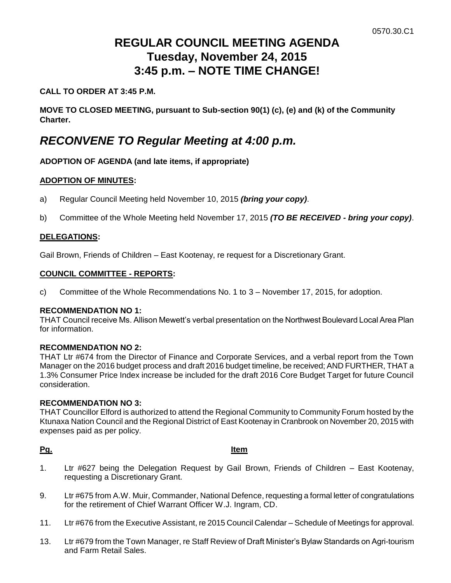# **REGULAR COUNCIL MEETING AGENDA Tuesday, November 24, 2015 3:45 p.m. – NOTE TIME CHANGE!**

### **CALL TO ORDER AT 3:45 P.M.**

**MOVE TO CLOSED MEETING, pursuant to Sub-section 90(1) (c), (e) and (k) of the Community Charter.**

## *RECONVENE TO Regular Meeting at 4:00 p.m.*

### **ADOPTION OF AGENDA (and late items, if appropriate)**

#### **ADOPTION OF MINUTES:**

- a) Regular Council Meeting held November 10, 2015 *(bring your copy)*.
- b) Committee of the Whole Meeting held November 17, 2015 *(TO BE RECEIVED - bring your copy)*.

#### **DELEGATIONS:**

Gail Brown, Friends of Children – East Kootenay, re request for a Discretionary Grant.

#### **COUNCIL COMMITTEE - REPORTS:**

c) Committee of the Whole Recommendations No. 1 to 3 – November 17, 2015, for adoption.

#### **RECOMMENDATION NO 1:**

THAT Council receive Ms. Allison Mewett's verbal presentation on the Northwest Boulevard Local Area Plan for information.

#### **RECOMMENDATION NO 2:**

THAT Ltr #674 from the Director of Finance and Corporate Services, and a verbal report from the Town Manager on the 2016 budget process and draft 2016 budget timeline, be received; AND FURTHER, THAT a 1.3% Consumer Price Index increase be included for the draft 2016 Core Budget Target for future Council consideration.

#### **RECOMMENDATION NO 3:**

THAT Councillor Elford is authorized to attend the Regional Community to Community Forum hosted by the Ktunaxa Nation Council and the Regional District of East Kootenay in Cranbrook on November 20, 2015 with expenses paid as per policy.

#### **Pg. Item**

- 1. Ltr #627 being the Delegation Request by Gail Brown, Friends of Children East Kootenay, requesting a Discretionary Grant.
- 9. Ltr #675 from A.W. Muir, Commander, National Defence, requesting a formal letter of congratulations for the retirement of Chief Warrant Officer W.J. Ingram, CD.
- 11. Ltr #676 from the Executive Assistant, re 2015 Council Calendar Schedule of Meetings for approval.
- 13. Ltr #679 from the Town Manager, re Staff Review of Draft Minister's Bylaw Standards on Agri-tourism and Farm Retail Sales.